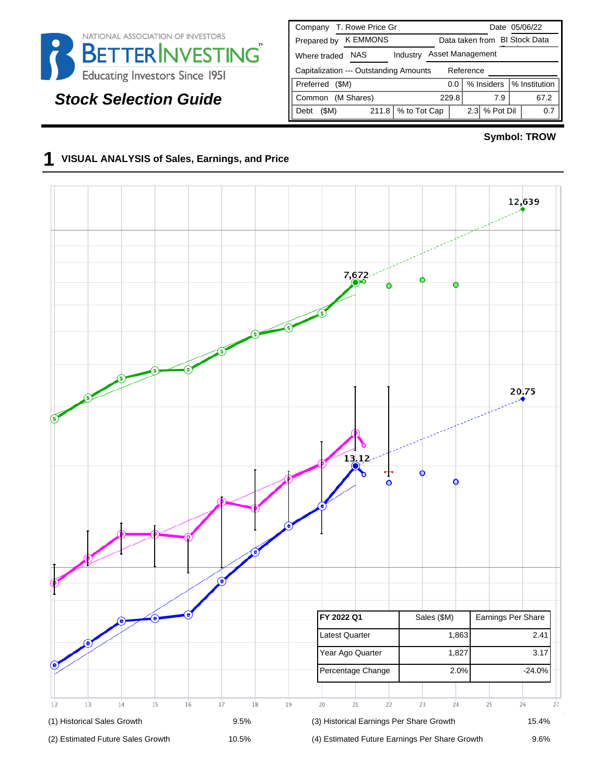

# **Stock Selection Guide**

| T. Rowe Price Gr<br>Company                         | Date 05/06/22                        |  |  |  |  |  |  |
|-----------------------------------------------------|--------------------------------------|--|--|--|--|--|--|
| <b>K EMMONS</b><br>Prepared by                      | Data taken from BI Stock Data        |  |  |  |  |  |  |
| <b>NAS</b><br>Industry<br>Where traded              | Asset Management                     |  |  |  |  |  |  |
| Capitalization --- Outstanding Amounts<br>Reference |                                      |  |  |  |  |  |  |
| Preferred<br>(SM)                                   | % Insiders<br>% Institution<br>0.0   |  |  |  |  |  |  |
| (M Shares)<br>Common                                | 67.2<br>229.8<br>7.9                 |  |  |  |  |  |  |
| % to Tot Cap<br>(SM)<br>211.8<br>Debt               | % Pot Dil<br>2.3 <sub>1</sub><br>0.7 |  |  |  |  |  |  |

#### **Symbol: TROW**

## **1 VISUAL ANALYSIS of Sales, Earnings, and Price**